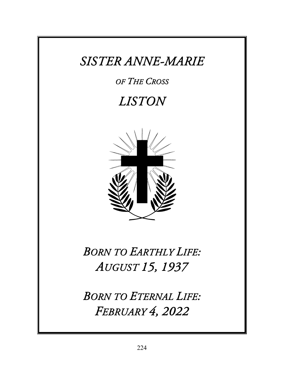### *SISTER ANNE-MARIE*

#### *OF THE CROSS*

# *LISTON*



## *BORN TO EARTHLY LIFE: AUGUST 15, 1937*

*BORN TO ETERNAL LIFE: FEBRUARY 4, 2022*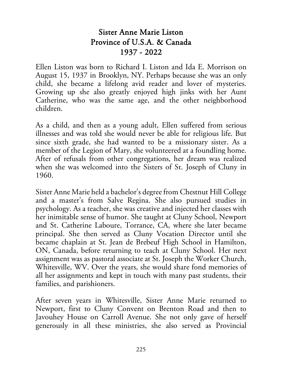#### Sister Anne Marie Liston Province of U.S.A. & Canada 1937 - 2022

Ellen Liston was born to Richard I. Liston and Ida E. Morrison on August 15, 1937 in Brooklyn, NY. Perhaps because she was an only child, she became a lifelong avid reader and lover of mysteries. Growing up she also greatly enjoyed high jinks with her Aunt Catherine, who was the same age, and the other neighborhood children.

As a child, and then as a young adult, Ellen suffered from serious illnesses and was told she would never be able for religious life. But since sixth grade, she had wanted to be a missionary sister. As a member of the Legion of Mary, she volunteered at a foundling home. After of refusals from other congregations, her dream was realized when she was welcomed into the Sisters of St. Joseph of Cluny in 1960.

Sister Anne Marie held a bachelor's degree from Chestnut Hill College and a master's from Salve Regina. She also pursued studies in psychology. As a teacher, she was creative and injected her classes with her inimitable sense of humor. She taught at Cluny School, Newport and St. Catherine Laboure, Torrance, CA, where she later became principal. She then served as Cluny Vocation Director until she became chaplain at St. Jean de Brebeuf High School in Hamilton, ON, Canada, before returning to teach at Cluny School. Her next assignment was as pastoral associate at St. Joseph the Worker Church, Whitesville, WV. Over the years, she would share fond memories of all her assignments and kept in touch with many past students, their families, and parishioners.

After seven years in Whitesville, Sister Anne Marie returned to Newport, first to Cluny Convent on Brenton Road and then to Javouhey House on Carroll Avenue. She not only gave of herself generously in all these ministries, she also served as Provincial